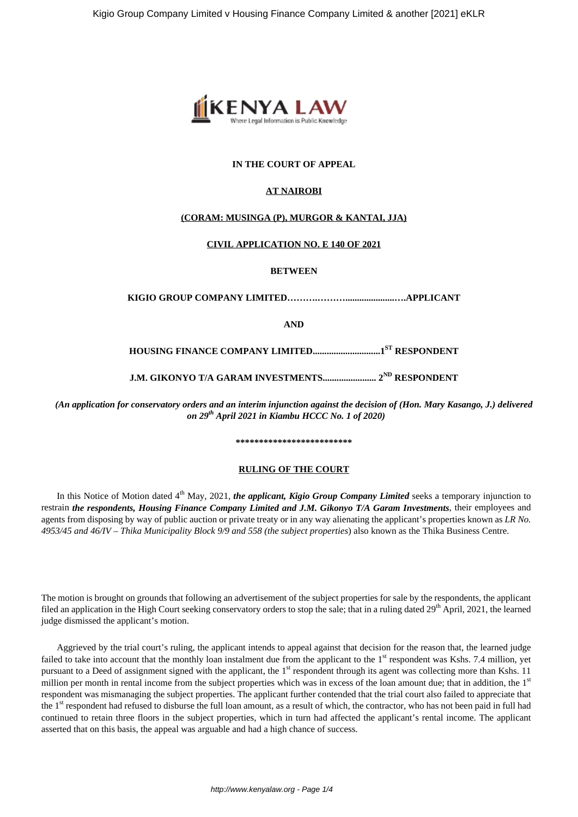

# **IN THE COURT OF APPEAL**

### **AT NAIROBI**

### **(CORAM: MUSINGA (P), MURGOR & KANTAI, JJA)**

#### **CIVIL APPLICATION NO. E 140 OF 2021**

**BETWEEN**

**KIGIO GROUP COMPANY LIMITED……….……….....................….APPLICANT**

**AND**

**HOUSING FINANCE COMPANY LIMITED.............................1ST RESPONDENT**

**J.M. GIKONYO T/A GARAM INVESTMENTS....................... 2ND RESPONDENT**

*(An application for conservatory orders and an interim injunction against the decision of (Hon. Mary Kasango, J.) delivered on 29th April 2021 in Kiambu HCCC No. 1 of 2020)*

**\*\*\*\*\*\*\*\*\*\*\*\*\*\*\*\*\*\*\*\*\*\*\*\*\***

#### **RULING OF THE COURT**

In this Notice of Motion dated 4<sup>th</sup> May, 2021, *the applicant, Kigio Group Company Limited* seeks a temporary injunction to restrain *the respondents, Housing Finance Company Limited and J.M. Gikonyo T/A Garam Investments*, their employees and agents from disposing by way of public auction or private treaty or in any way alienating the applicant's properties known as *LR No. 4953/45 and 46/IV – Thika Municipality Block 9/9 and 558 (the subject properties*) also known as the Thika Business Centre.

The motion is brought on grounds that following an advertisement of the subject properties for sale by the respondents, the applicant filed an application in the High Court seeking conservatory orders to stop the sale; that in a ruling dated 29<sup>th</sup> April, 2021, the learned judge dismissed the applicant's motion.

Aggrieved by the trial court's ruling, the applicant intends to appeal against that decision for the reason that, the learned judge failed to take into account that the monthly loan instalment due from the applicant to the  $1<sup>st</sup>$  respondent was Kshs. 7.4 million, yet pursuant to a Deed of assignment signed with the applicant, the 1<sup>st</sup> respondent through its agent was collecting more than Kshs. 11 million per month in rental income from the subject properties which was in excess of the loan amount due; that in addition, the 1<sup>st</sup> respondent was mismanaging the subject properties. The applicant further contended that the trial court also failed to appreciate that the 1<sup>st</sup> respondent had refused to disburse the full loan amount, as a result of which, the contractor, who has not been paid in full had continued to retain three floors in the subject properties, which in turn had affected the applicant's rental income. The applicant asserted that on this basis, the appeal was arguable and had a high chance of success.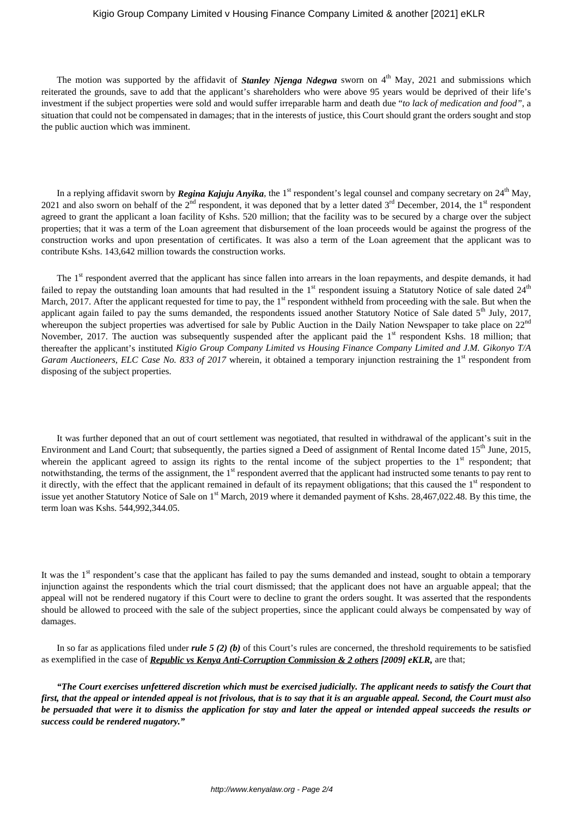### Kigio Group Company Limited v Housing Finance Company Limited & another [2021] eKLR

The motion was supported by the affidavit of *Stanley Njenga Ndegwa* sworn on 4<sup>th</sup> May, 2021 and submissions which reiterated the grounds, save to add that the applicant's shareholders who were above 95 years would be deprived of their life's investment if the subject properties were sold and would suffer irreparable harm and death due "*to lack of medication and food"*, a situation that could not be compensated in damages; that in the interests of justice, this Court should grant the orders sought and stop the public auction which was imminent.

In a replying affidavit sworn by *Regina Kajuju Anyika*, the 1<sup>st</sup> respondent's legal counsel and company secretary on 24<sup>th</sup> May, 2021 and also sworn on behalf of the  $2<sup>nd</sup>$  respondent, it was deponed that by a letter dated  $3<sup>rd</sup>$  December, 2014, the 1<sup>st</sup> respondent agreed to grant the applicant a loan facility of Kshs. 520 million; that the facility was to be secured by a charge over the subject properties; that it was a term of the Loan agreement that disbursement of the loan proceeds would be against the progress of the construction works and upon presentation of certificates. It was also a term of the Loan agreement that the applicant was to contribute Kshs. 143,642 million towards the construction works.

The 1<sup>st</sup> respondent averred that the applicant has since fallen into arrears in the loan repayments, and despite demands, it had failed to repay the outstanding loan amounts that had resulted in the  $1<sup>st</sup>$  respondent issuing a Statutory Notice of sale dated  $24<sup>th</sup>$ March, 2017. After the applicant requested for time to pay, the 1<sup>st</sup> respondent withheld from proceeding with the sale. But when the applicant again failed to pay the sums demanded, the respondents issued another Statutory Notice of Sale dated  $5<sup>th</sup>$  July, 2017, whereupon the subject properties was advertised for sale by Public Auction in the Daily Nation Newspaper to take place on  $22<sup>nd</sup>$ November, 2017. The auction was subsequently suspended after the applicant paid the  $1<sup>st</sup>$  respondent Kshs. 18 million; that thereafter the applicant's instituted *Kigio Group Company Limited vs Housing Finance Company Limited and J.M. Gikonyo T/A Garam Auctioneers, ELC Case No. 833 of 2017* wherein, it obtained a temporary injunction restraining the 1<sup>st</sup> respondent from disposing of the subject properties.

It was further deponed that an out of court settlement was negotiated, that resulted in withdrawal of the applicant's suit in the Environment and Land Court; that subsequently, the parties signed a Deed of assignment of Rental Income dated 15<sup>th</sup> June, 2015, wherein the applicant agreed to assign its rights to the rental income of the subject properties to the  $1<sup>st</sup>$  respondent; that notwithstanding, the terms of the assignment, the 1<sup>st</sup> respondent averred that the applicant had instructed some tenants to pay rent to it directly, with the effect that the applicant remained in default of its repayment obligations; that this caused the 1<sup>st</sup> respondent to issue yet another Statutory Notice of Sale on 1<sup>st</sup> March, 2019 where it demanded payment of Kshs. 28,467,022.48. By this time, the term loan was Kshs. 544,992,344.05.

It was the  $1<sup>st</sup>$  respondent's case that the applicant has failed to pay the sums demanded and instead, sought to obtain a temporary injunction against the respondents which the trial court dismissed; that the applicant does not have an arguable appeal; that the appeal will not be rendered nugatory if this Court were to decline to grant the orders sought. It was asserted that the respondents should be allowed to proceed with the sale of the subject properties, since the applicant could always be compensated by way of damages.

In so far as applications filed under *rule 5 (2) (b)* of this Court's rules are concerned, the threshold requirements to be satisfied as exemplified in the case of *Republic vs Kenya Anti-Corruption Commission & 2 others [2009] eKLR,* are that;

*"The Court exercises unfettered discretion which must be exercised judicially. The applicant needs to satisfy the Court that first, that the appeal or intended appeal is not frivolous, that is to say that it is an arguable appeal. Second, the Court must also be persuaded that were it to dismiss the application for stay and later the appeal or intended appeal succeeds the results or success could be rendered nugatory."*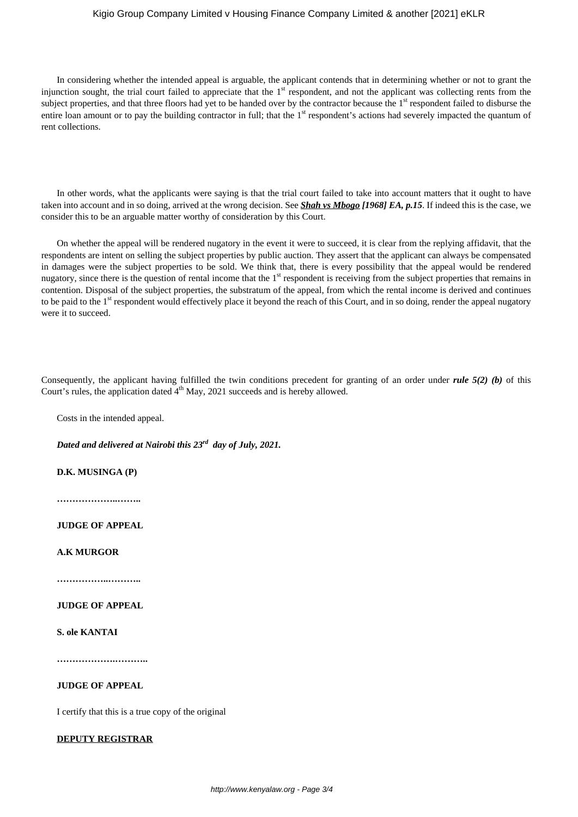# Kigio Group Company Limited v Housing Finance Company Limited & another [2021] eKLR

In considering whether the intended appeal is arguable, the applicant contends that in determining whether or not to grant the injunction sought, the trial court failed to appreciate that the 1<sup>st</sup> respondent, and not the applicant was collecting rents from the subject properties, and that three floors had yet to be handed over by the contractor because the 1<sup>st</sup> respondent failed to disburse the entire loan amount or to pay the building contractor in full; that the 1<sup>st</sup> respondent's actions had severely impacted the quantum of rent collections.

In other words, what the applicants were saying is that the trial court failed to take into account matters that it ought to have taken into account and in so doing, arrived at the wrong decision. See *Shah vs Mbogo [1968] EA, p.15*. If indeed this is the case, we consider this to be an arguable matter worthy of consideration by this Court.

On whether the appeal will be rendered nugatory in the event it were to succeed, it is clear from the replying affidavit, that the respondents are intent on selling the subject properties by public auction. They assert that the applicant can always be compensated in damages were the subject properties to be sold. We think that, there is every possibility that the appeal would be rendered nugatory, since there is the question of rental income that the 1<sup>st</sup> respondent is receiving from the subject properties that remains in contention. Disposal of the subject properties, the substratum of the appeal, from which the rental income is derived and continues to be paid to the 1<sup>st</sup> respondent would effectively place it beyond the reach of this Court, and in so doing, render the appeal nugatory were it to succeed.

Consequently, the applicant having fulfilled the twin conditions precedent for granting of an order under *rule 5(2) (b)* of this Court's rules, the application dated  $4<sup>th</sup>$  May, 2021 succeeds and is hereby allowed.

Costs in the intended appeal.

*Dated and delivered at Nairobi this 23rd day of July, 2021.*

**D.K. MUSINGA (P)**

**………………..……..**

**JUDGE OF APPEAL**

**A.K MURGOR**

**……………..………..**

## **JUDGE OF APPEAL**

**S. ole KANTAI**

**……………….………..**

## **JUDGE OF APPEAL**

I certify that this is a true copy of the original

# **DEPUTY REGISTRAR**